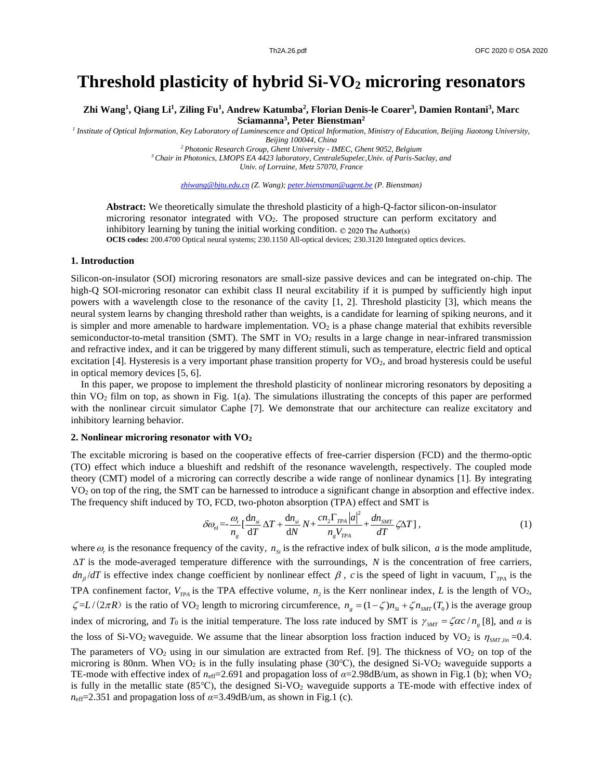# **Threshold plasticity of hybrid Si-VO<sup>2</sup> microring resonators**

**Zhi Wang<sup>1</sup> , Qiang Li<sup>1</sup> , Ziling Fu<sup>1</sup> , Andrew Katumba<sup>2</sup> , Florian Denis-le Coarer<sup>3</sup> , Damien Rontani<sup>3</sup> , Marc Sciamanna<sup>3</sup> , Peter Bienstman<sup>2</sup>**

*1 Institute of Optical Information, Key Laboratory of Luminescence and Optical Information, Ministry of Education, Beijing Jiaotong University,* 

*Beijing 100044, China*

*<sup>2</sup>Photonic Research Group, Ghent University - IMEC, Ghent 9052, Belgium <sup>3</sup>Chair in Photonics, LMOPS EA 4423 laboratory, CentraleSupelec,Univ. of Paris-Saclay, and*

*Univ. of Lorraine, Metz 57070, France*

*zhiwang@bjtu.edu.cn (Z. Wang); peter.bienstman@ugent.be (P. Bienstman)*

**Abstract:** We theoretically simulate the threshold plasticity of a high-Q-factor silicon-on-insulator microring resonator integrated with VO2. The proposed structure can perform excitatory and inhibitory learning by tuning the initial working condition.  $\odot$  2020 The Author(s) **OCIS codes:** 200.4700 Optical neural systems; 230.1150 All-optical devices; 230.3120 Integrated optics devices.

#### **1. Introduction**

Silicon-on-insulator (SOI) microring resonators are small-size passive devices and can be integrated on-chip. The high-Q SOI-microring resonator can exhibit class II neural excitability if it is pumped by sufficiently high input powers with a wavelength close to the resonance of the cavity [1, 2]. Threshold plasticity [3], which means the neural system learns by changing threshold rather than weights, is a candidate for learning of spiking neurons, and it is simpler and more amenable to hardware implementation.  $VO<sub>2</sub>$  is a phase change material that exhibits reversible semiconductor-to-metal transition (SMT). The SMT in VO<sub>2</sub> results in a large change in near-infrared transmission and refractive index, and it can be triggered by many different stimuli, such as temperature, electric field and optical excitation [4]. Hysteresis is a very important phase transition property for VO<sub>2</sub>, and broad hysteresis could be useful in optical memory devices [5, 6].

In this paper, we propose to implement the threshold plasticity of nonlinear microring resonators by depositing a thin  $VO<sub>2</sub>$  film on top, as shown in Fig. 1(a). The simulations illustrating the concepts of this paper are performed with the nonlinear circuit simulator Caphe [7]. We demonstrate that our architecture can realize excitatory and inhibitory learning behavior.

## **2. Nonlinear microring resonator with VO<sup>2</sup>**

The excitable microring is based on the cooperative effects of free-carrier dispersion (FCD) and the thermo-optic (TO) effect which induce a blueshift and redshift of the resonance wavelength, respectively. The coupled mode theory (CMT) model of a microring can correctly describe a wide range of nonlinear dynamics [1]. By integrating VO<sub>2</sub> on top of the ring, the SMT can be harnessed to introduce a significant change in absorption and effective index.

The frequency shift induced by TO, FCD, two-photon absorption (TPA) effect and SMT is  
\n
$$
\delta \omega_{nl} = \frac{\omega_r}{n_g} \left[ \frac{dn_{si}}{dT} \Delta T + \frac{dn_{si}}{dN} N + \frac{cn_2 \Gamma_{TPA} |a|^2}{n_g V_{TPA}} + \frac{dn_{SMT}}{dT} \zeta \Delta T \right],
$$
\n(1)

where  $\omega_r$  is the resonance frequency of the cavity,  $n_{si}$  is the refractive index of bulk silicon, *a* is the mode amplitude,  $\Delta T$  is the mode-averaged temperature difference with the surroundings, *N* is the concentration of free carriers,  $dn_\beta/dT$  is effective index change coefficient by nonlinear effect  $\beta$ , *c* is the speed of light in vacuum,  $\Gamma_{TPA}$  is the TPA confinement factor,  $V_{TPA}$  is the TPA effective volume,  $n_2$  is the Kerr nonlinear index, *L* is the length of VO<sub>2</sub>,  $\zeta = L/(2\pi R)$  is the ratio of VO<sub>2</sub> length to microring circumference,  $n_g = (1 - \zeta)n_{Si} + \zeta n_{SMT}(T_0)$  is the average group index of microring, and  $T_0$  is the initial temperature. The loss rate induced by SMT is  $\gamma_{\text{SMT}} = \zeta \alpha c / n_g$  [8], and  $\alpha$  is the loss of Si-VO<sub>2</sub> waveguide. We assume that the linear absorption loss fraction induced by VO<sub>2</sub> is  $\eta_{SMT,lin}$  =0.4. The parameters of  $VO<sub>2</sub>$  using in our simulation are extracted from Ref. [9]. The thickness of  $VO<sub>2</sub>$  on top of the microring is 80nm. When  $VO_2$  is in the fully insulating phase (30°C), the designed Si-VO<sub>2</sub> waveguide supports a TE-mode with effective index of  $n_{\text{eff}}$ =2.691 and propagation loss of  $\alpha$ =2.98dB/um, as shown in Fig.1 (b); when VO<sub>2</sub> is fully in the metallic state (85℃), the designed Si-VO<sup>2</sup> waveguide supports a TE-mode with effective index of  $n_{\text{eff}}$ =2.351 and propagation loss of  $\alpha$ =3.49dB/um, as shown in Fig.1 (c).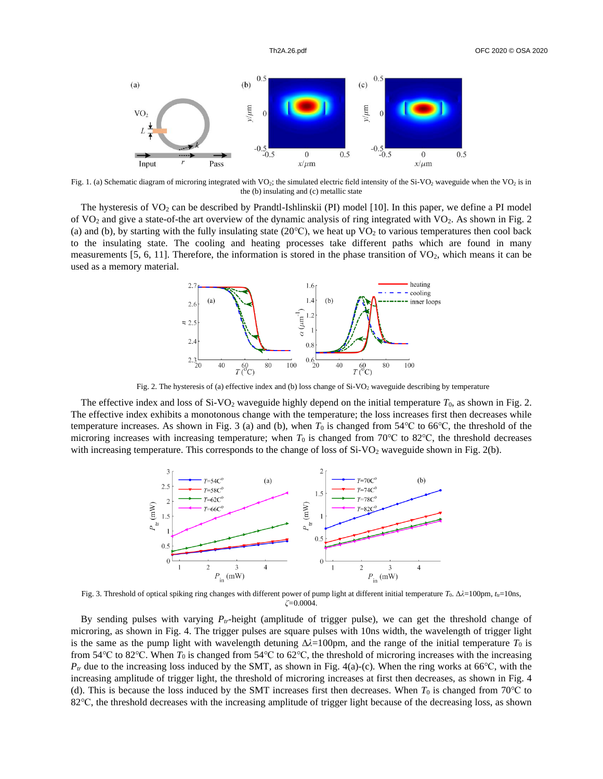

Fig. 1. (a) Schematic diagram of microring integrated with VO<sub>2</sub>; the simulated electric field intensity of the Si-VO<sub>2</sub> waveguide when the VO<sub>2</sub> is in the (b) insulating and (c) metallic state

The hysteresis of  $VO_2$  can be described by Prandtl-Ishlinskii (PI) model [10]. In this paper, we define a PI model of  $VO<sub>2</sub>$  and give a state-of-the art overview of the dynamic analysis of ring integrated with  $VO<sub>2</sub>$ . As shown in Fig. 2 (a) and (b), by starting with the fully insulating state  $(20^{\circ}\text{C})$ , we heat up VO<sub>2</sub> to various temperatures then cool back to the insulating state. The cooling and heating processes take different paths which are found in many measurements  $[5, 6, 11]$ . Therefore, the information is stored in the phase transition of  $VO<sub>2</sub>$ , which means it can be used as a memory material.



Fig. 2. The hysteresis of (a) effective index and (b) loss change of Si-VO<sub>2</sub> waveguide describing by temperature

The effective index and loss of Si-VO<sub>2</sub> waveguide highly depend on the initial temperature  $T_0$ , as shown in Fig. 2. The effective index exhibits a monotonous change with the temperature; the loss increases first then decreases while temperature increases. As shown in Fig. 3 (a) and (b), when  $T_0$  is changed from 54°C to 66°C, the threshold of the microring increases with increasing temperature; when  $T_0$  is changed from 70°C to 82°C, the threshold decreases with increasing temperature. This corresponds to the change of loss of Si-VO<sub>2</sub> waveguide shown in Fig. 2(b).



Fig. 3. Threshold of optical spiking ring changes with different power of pump light at different initial temperature *T*<sub>0</sub>. Δλ=100pm,  $t<sub>u</sub>=10ns$ , *ζ=*0.0004.

By sending pulses with varying *Ptr*-height (amplitude of trigger pulse), we can get the threshold change of microring, as shown in Fig. 4. The trigger pulses are square pulses with 10ns width, the wavelength of trigger light is the same as the pump light with wavelength detuning  $\Delta\lambda = 100$ pm, and the range of the initial temperature  $T_0$  is from 54℃ to 82℃. When *T*<sup>0</sup> is changed from 54℃ to 62℃, the threshold of microring increases with the increasing  $P_t$ <sup>*r*</sup> due to the increasing loss induced by the SMT, as shown in Fig. 4(a)-(c). When the ring works at 66°C, with the increasing amplitude of trigger light, the threshold of microring increases at first then decreases, as shown in Fig. 4 (d). This is because the loss induced by the SMT increases first then decreases. When  $T_0$  is changed from 70°C to 82 °C, the threshold decreases with the increasing amplitude of trigger light because of the decreasing loss, as shown